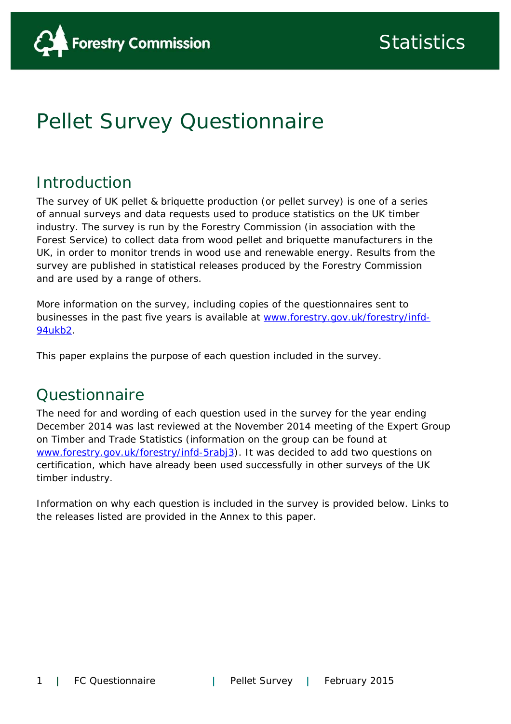

# Pellet Survey Questionnaire

# Introduction

The survey of UK pellet & briquette production (or pellet survey) is one of a series of annual surveys and data requests used to produce statistics on the UK timber industry. The survey is run by the Forestry Commission (in association with the Forest Service) to collect data from wood pellet and briquette manufacturers in the UK, in order to monitor trends in wood use and renewable energy. Results from the survey are published in statistical releases produced by the Forestry Commission and are used by a range of others.

More information on the survey, including copies of the questionnaires sent to businesses in the past five years is available at www.forestry.gov.uk/forestry/infd-94ukb2.

This paper explains the purpose of each question included in the survey.

## **Ouestionnaire**

The need for and wording of each question used in the survey for the year ending December 2014 was last reviewed at the November 2014 meeting of the Expert Group on Timber and Trade Statistics (information on the group can be found at www.forestry.gov.uk/forestry/infd-5rabj3). It was decided to add two questions on certification, which have already been used successfully in other surveys of the UK timber industry.

Information on why each question is included in the survey is provided below. Links to the releases listed are provided in the Annex to this paper.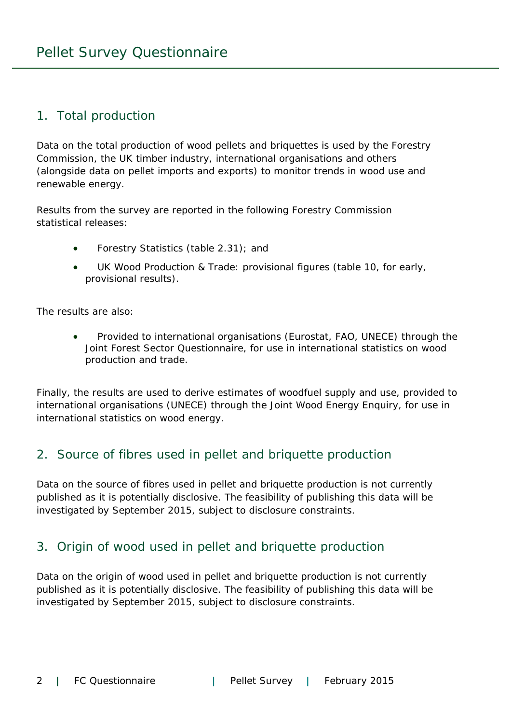#### 1. Total production

Data on the total production of wood pellets and briquettes is used by the Forestry Commission, the UK timber industry, international organisations and others (alongside data on pellet imports and exports) to monitor trends in wood use and renewable energy.

Results from the survey are reported in the following Forestry Commission statistical releases:

- Forestry Statistics (table 2.31); and
- UK Wood Production & Trade: provisional figures (table 10, for early, provisional results).

The results are also:

 Provided to international organisations (Eurostat, FAO, UNECE) through the Joint Forest Sector Questionnaire, for use in international statistics on wood production and trade.

Finally, the results are used to derive estimates of woodfuel supply and use, provided to international organisations (UNECE) through the Joint Wood Energy Enquiry, for use in international statistics on wood energy.

#### 2. Source of fibres used in pellet and briquette production

Data on the source of fibres used in pellet and briquette production is not currently published as it is potentially disclosive. The feasibility of publishing this data will be investigated by September 2015, subject to disclosure constraints.

#### 3. Origin of wood used in pellet and briquette production

Data on the origin of wood used in pellet and briquette production is not currently published as it is potentially disclosive. The feasibility of publishing this data will be investigated by September 2015, subject to disclosure constraints.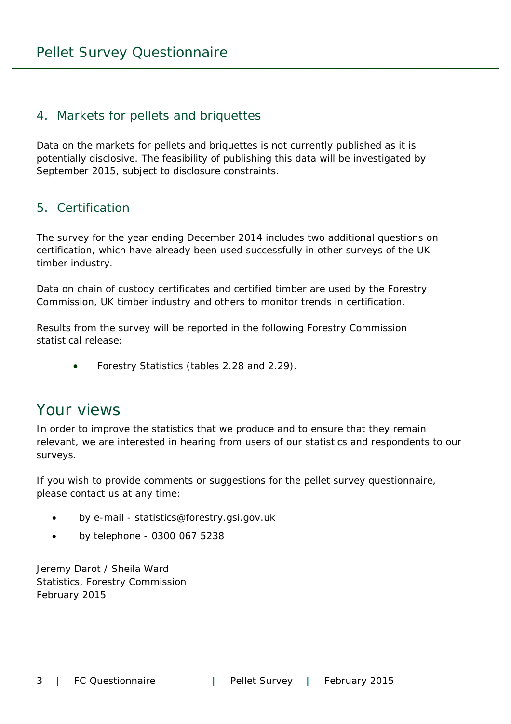#### 4. Markets for pellets and briquettes

Data on the markets for pellets and briquettes is not currently published as it is potentially disclosive. The feasibility of publishing this data will be investigated by September 2015, subject to disclosure constraints.

#### 5. Certification

The survey for the year ending December 2014 includes two additional questions on certification, which have already been used successfully in other surveys of the UK timber industry.

Data on chain of custody certificates and certified timber are used by the Forestry Commission, UK timber industry and others to monitor trends in certification.

Results from the survey will be reported in the following Forestry Commission statistical release:

Forestry Statistics (tables 2.28 and 2.29).

### Your views

In order to improve the statistics that we produce and to ensure that they remain relevant, we are interested in hearing from users of our statistics and respondents to our surveys.

If you wish to provide comments or suggestions for the pellet survey questionnaire, please contact us at any time:

- by e-mail statistics@forestry.gsi.gov.uk
- by telephone 0300 067 5238

Jeremy Darot / Sheila Ward Statistics, Forestry Commission February 2015